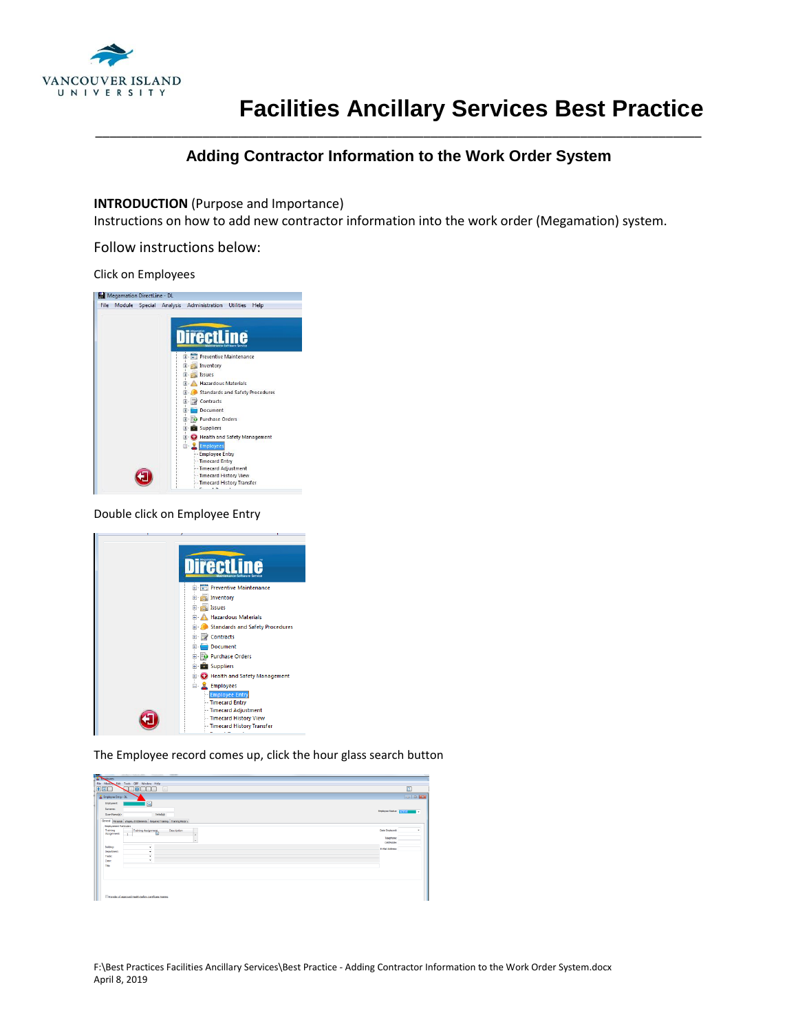

# **Facilities Ancillary Services Best Practice**

## \_\_\_\_\_\_\_\_\_\_\_\_\_\_\_\_\_\_\_\_\_\_\_\_\_\_\_\_\_\_\_\_\_\_\_\_\_\_\_\_\_\_\_\_\_\_\_\_\_\_\_\_\_\_\_\_\_\_\_\_\_\_\_\_\_\_\_\_\_\_\_\_\_\_\_\_\_\_\_\_\_\_\_\_\_ **Adding Contractor Information to the Work Order System**

### **INTRODUCTION** (Purpose and Importance)

Instructions on how to add new contractor information into the work order (Megamation) system.

Follow instructions below:

#### Click on Employees



#### Double click on Employee Entry



The Employee record comes up, click the hour glass search button

| $\Box$                     |
|----------------------------|
| $-10$                      |
|                            |
|                            |
| Employee Status: [Service] |
|                            |
|                            |
| <b>Date Engineed:</b>      |
| Telephone:                 |
| CellMobile:                |
| E-Mail Address:            |
|                            |
|                            |
|                            |
|                            |
|                            |
|                            |
|                            |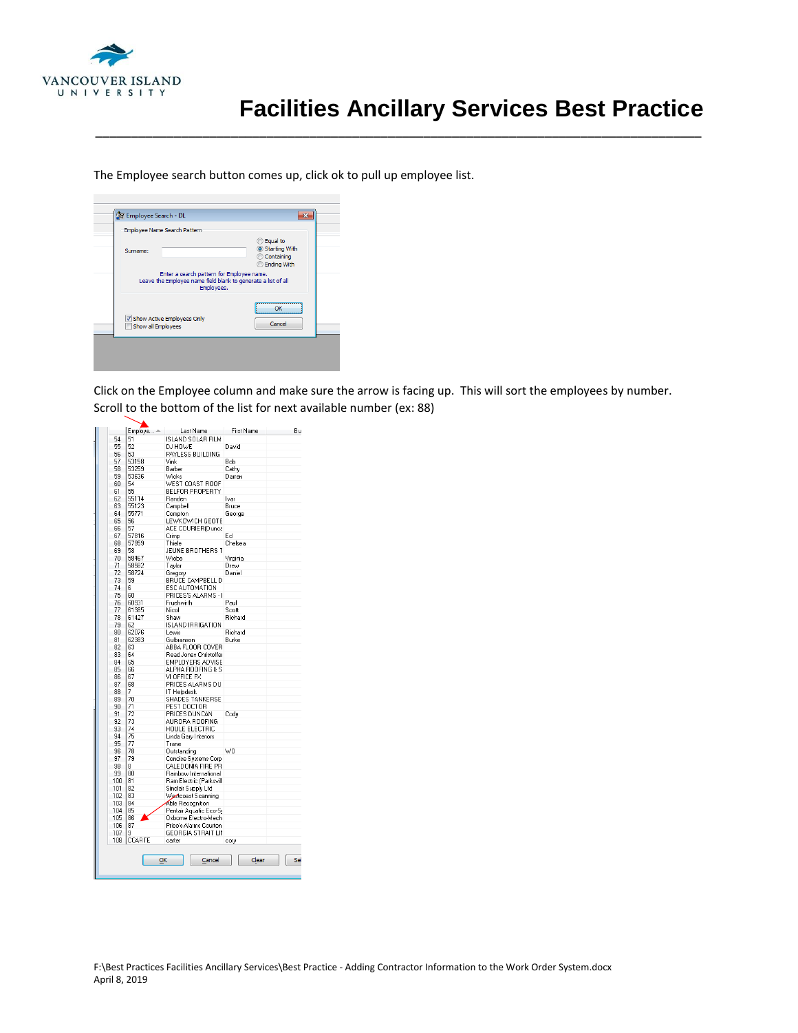

The Employee search button comes up, click ok to pull up employee list.

| Surname:<br>Enter a search pattern for Employee name.                       | C Equal to<br>Starting With<br>Containing    |
|-----------------------------------------------------------------------------|----------------------------------------------|
|                                                                             | <b>Ending With</b>                           |
| Leave the Employee name field blank to generate a list of all<br>Employees. |                                              |
| V Show Active Employees Only<br>Show all Employees                          | ,,,,,,,,,,,,,,,,,,,,,,,,<br>ΩK<br><br>Cancel |

Click on the Employee column and make sure the arrow is facing up. This will sort the employees by number. Scroll to the bottom of the list for next available number (ex: 88)

\_\_\_\_\_\_\_\_\_\_\_\_\_\_\_\_\_\_\_\_\_\_\_\_\_\_\_\_\_\_\_\_\_\_\_\_\_\_\_\_\_\_\_\_\_\_\_\_\_\_\_\_\_\_\_\_\_\_\_\_\_\_\_\_\_\_\_\_\_\_\_\_\_\_\_\_\_\_\_\_\_\_\_\_\_

|     | Employe $\triangleq$ | Last Name                | First Name | Bu  |
|-----|----------------------|--------------------------|------------|-----|
| 54  | 51                   | <b>ISLAND SOLAR FILM</b> |            |     |
| 55  | 52                   | DJ HOWE                  | David      |     |
| 56  | 53                   | PAYLESS BUILDING         |            |     |
| 57  | 53158                | Vink                     | Bob        |     |
|     |                      |                          |            |     |
| 58  | 53259                | Barber                   | Cathy      |     |
| 59  | 53636                | Wicks                    | Darren     |     |
| 60  | 54                   | WEST COAST ROOF          |            |     |
| 61  | 55                   | BELFOR PROPERTY          |            |     |
| 62  | 55114                | Randen                   | Ivar       |     |
| 63  | 55123                | Campbell                 | Bruce      |     |
| 64  | 55771                | Compton                  | George     |     |
| 65  | 56                   | LEWKOWICH GEOTE          |            |     |
| 66  | 57                   | ACE COURIER(Dunca        |            |     |
| 67  | 57816                | Crimp                    | FН         |     |
|     |                      |                          |            |     |
| 68  | 57959                | Thiele                   | Chelsea    |     |
| 69  | 58                   | JEUNE BROTHERS T         |            |     |
| 70  | 58467                | Wiebe                    | Virginia   |     |
| 71  | 58582                | <b>Tavlor</b>            | Drew       |     |
| 72  | 58724                | Gregory                  | Daniel     |     |
| 73  | 59                   | BRUCE CAMPBELL D         |            |     |
| 74  | 6                    | ESC AUTOMATION           |            |     |
| 75  | 60                   | PRICES'S ALARMS - I      |            |     |
|     |                      |                          |            |     |
| 76  | 60931                | Fruehwirth               | Paul       |     |
| 77  | 61385                | Nicol                    | Scott      |     |
| 78  | 61427                | Shaw                     | Richard    |     |
| 79  | 62                   | <b>ISLAND IRRIGATION</b> |            |     |
| 80  | 62076                | Lewis                    | Richard    |     |
| 81  | 62383                | Gulbranson               | Burke      |     |
| 82  | 63                   | ABBA FLOOR COVER         |            |     |
| 83  | 64                   | Read Jones Christoffer   |            |     |
| 84  | 65                   | <b>EMPLOYERS ADVISE</b>  |            |     |
|     |                      |                          |            |     |
| 85  | 66                   | ALPHA ROOFING & S        |            |     |
| 86  | 67                   | VI OFFICE FX             |            |     |
| 87  | 68                   | PRICES ALARMS DU         |            |     |
| 88  | 7                    | IT Helpdesk              |            |     |
| 89  | 70                   | SHADES TANKERSE          |            |     |
| 90  | 71                   | PEST DOCTOR              |            |     |
| 91  | 72                   | PRICES DUNCAN            | Cody       |     |
| 92  | 73                   | AURORA ROOFING           |            |     |
|     |                      |                          |            |     |
| 93  | 74                   | HOULE ELECTRIC           |            |     |
| 94  | 75                   | Linda Gary Interiors     |            |     |
| 95  | 77                   | Trane                    |            |     |
| 96  | 78                   | Outstanding              | WO         |     |
| 97  | 79                   | Concise Systems Corp     |            |     |
| 98  | 8                    | CALEDONIA FIRE PR        |            |     |
| 99  | 80                   | Rainbow International    |            |     |
| 100 | 81                   | Ram Electric (Parksvill  |            |     |
| 101 | 82                   |                          |            |     |
|     |                      | Sinclair Supply Ltd      |            |     |
| 102 | 83                   | Westcoast Scanning       |            |     |
| 103 | 84                   | Able Recognition         |            |     |
| 104 | 85                   | Pentair Aquatic Eco-S!   |            |     |
| 105 | 86                   | Osborne Electro-Mech     |            |     |
| 106 | 87                   | Price's Alarms Courten   |            |     |
| 107 | 9                    | GEORGIA STRAIT LII       |            |     |
| 108 | CCARTE               | carter                   |            |     |
|     |                      |                          | cory       |     |
|     | QK                   | Cancel                   | Clear      | Sel |